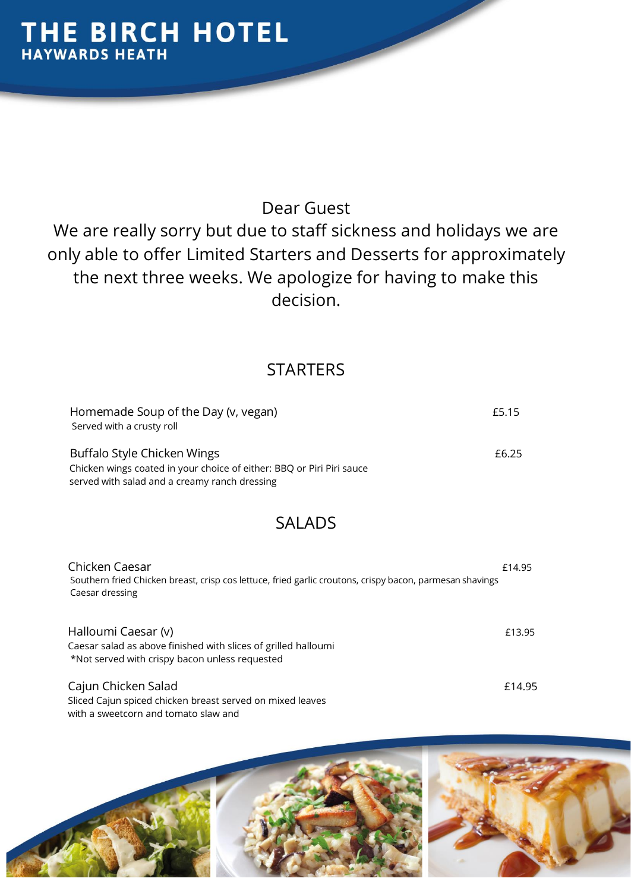### Dear Guest

We are really sorry but due to staff sickness and holidays we are only able to offer Limited Starters and Desserts for approximately the next three weeks. We apologize for having to make this decision.

### **STARTERS**

| Homemade Soup of the Day (v, vegan)                                   | £5.15 |
|-----------------------------------------------------------------------|-------|
| Served with a crusty roll                                             |       |
| Buffalo Style Chicken Wings                                           | £6.25 |
| Chicken wings coated in your choice of either: BBQ or Piri Piri sauce |       |

served with salad and a creamy ranch dressing

### SALADS

| Chicken Caesar                                                                                           | £14.95 |
|----------------------------------------------------------------------------------------------------------|--------|
| Southern fried Chicken breast, crisp cos lettuce, fried garlic croutons, crispy bacon, parmesan shavings |        |
| Caesar dressing                                                                                          |        |
|                                                                                                          |        |

Halloumi Caesar (v) **E13.95** Caesar salad as above finished with slices of grilled halloumi \*Not served with crispy bacon unless requested

Cajun Chicken Salad £14.95 Sliced Cajun spiced chicken breast served on mixed leaves with a sweetcorn and tomato slaw and

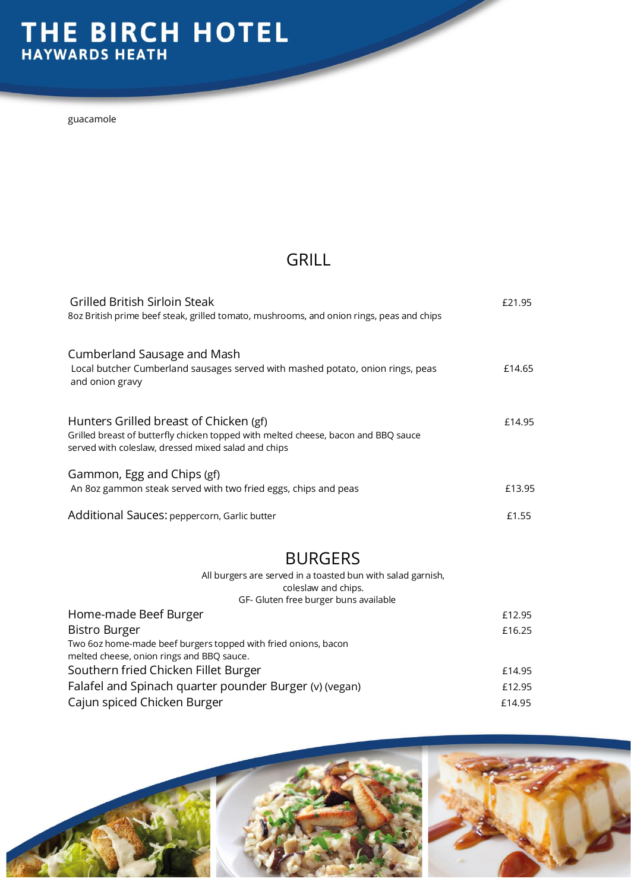# THE BIRCH HOTEL

guacamole

### GRILL

| Grilled British Sirloin Steak<br>8oz British prime beef steak, grilled tomato, mushrooms, and onion rings, peas and chips                                                           | F <sub>21.95</sub> |
|-------------------------------------------------------------------------------------------------------------------------------------------------------------------------------------|--------------------|
| Cumberland Sausage and Mash<br>Local butcher Cumberland sausages served with mashed potato, onion rings, peas<br>and onion gravy                                                    | £14.65             |
| Hunters Grilled breast of Chicken (gf)<br>Grilled breast of butterfly chicken topped with melted cheese, bacon and BBQ sauce<br>served with coleslaw, dressed mixed salad and chips | £14.95             |
| Gammon, Egg and Chips (gf)<br>An 8oz gammon steak served with two fried eggs, chips and peas                                                                                        | £13.95             |
| Additional Sauces: peppercorn, Garlic butter                                                                                                                                        | £1.55              |

#### BURGERS

All burgers are served in a toasted bun with salad garnish, coleslaw and chips. GF- Gluten free burger buns available

| or Graten nee barger bans available                                                                         |        |  |
|-------------------------------------------------------------------------------------------------------------|--------|--|
| Home-made Beef Burger                                                                                       | £12.95 |  |
| <b>Bistro Burger</b>                                                                                        | £16.25 |  |
| Two 6oz home-made beef burgers topped with fried onions, bacon<br>melted cheese, onion rings and BBQ sauce. |        |  |
| Southern fried Chicken Fillet Burger                                                                        | £14.95 |  |
| Falafel and Spinach quarter pounder Burger (v) (vegan)                                                      | £12.95 |  |
| Cajun spiced Chicken Burger                                                                                 | £14.95 |  |
|                                                                                                             |        |  |

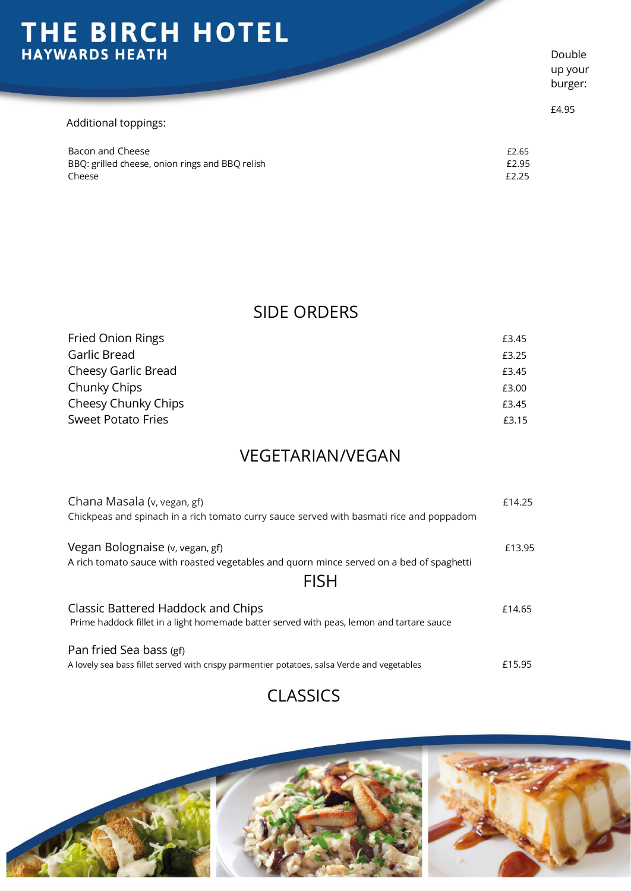# THE BIRCH HOTEL

| Additional toppings:                                      |                |
|-----------------------------------------------------------|----------------|
| Bacon and Cheese                                          | £2.65          |
| BBQ: grilled cheese, onion rings and BBQ relish<br>Cheese | £2.95<br>£2.25 |

Double up your burger:

£4.95

#### SIDE ORDERS

| <b>Fried Onion Rings</b>  | £3.45 |
|---------------------------|-------|
| Garlic Bread              | £3.25 |
| Cheesy Garlic Bread       | £3.45 |
| Chunky Chips              | £3.00 |
| Cheesy Chunky Chips       | £3.45 |
| <b>Sweet Potato Fries</b> | £3.15 |

### VEGETARIAN/VEGAN

| Chana Masala (v, vegan, gf)<br>Chickpeas and spinach in a rich tomato curry sauce served with basmati rice and poppadom                    | £14.25 |
|--------------------------------------------------------------------------------------------------------------------------------------------|--------|
| Vegan Bolognaise (v, vegan, gf)<br>A rich tomato sauce with roasted vegetables and quorn mince served on a bed of spaghetti<br><b>FISH</b> | £13.95 |
| Classic Battered Haddock and Chips<br>Prime haddock fillet in a light homemade batter served with peas, lemon and tartare sauce            | £14.65 |
| Pan fried Sea bass (gf)<br>A lovely sea bass fillet served with crispy parmentier potatoes, salsa Verde and vegetables                     | £15.95 |

### CLASSICS

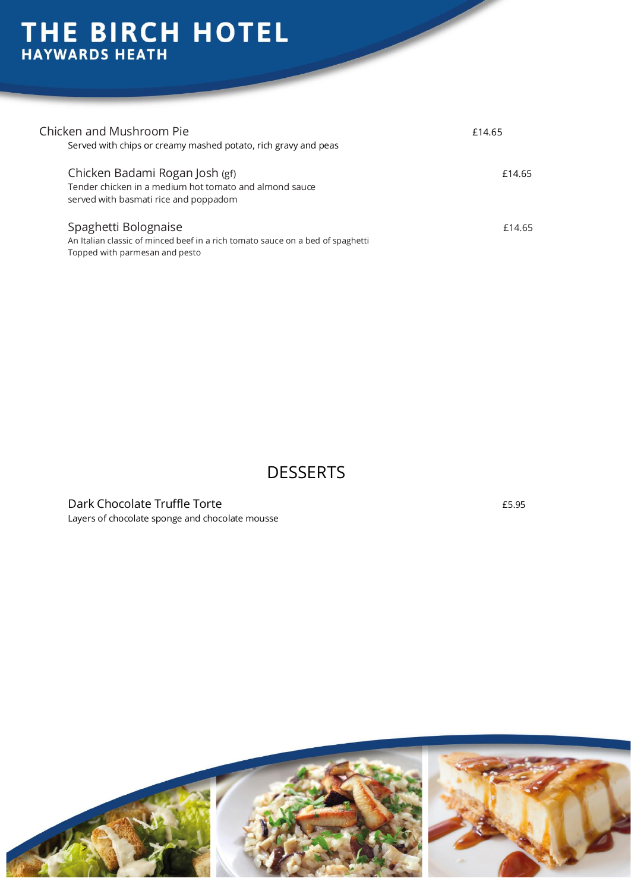# THE BIRCH HOTEL

| Chicken and Mushroom Pie<br>Served with chips or creamy mashed potato, rich gravy and peas                                               | £14.65 |
|------------------------------------------------------------------------------------------------------------------------------------------|--------|
| Chicken Badami Rogan Josh (gf)<br>Tender chicken in a medium hot tomato and almond sauce<br>served with basmati rice and poppadom        | £14.65 |
| Spaghetti Bolognaise<br>An Italian classic of minced beef in a rich tomato sauce on a bed of spaghetti<br>Topped with parmesan and pesto | £14.65 |

### **DESSERTS**

Dark Chocolate Truffle Torte **EXACTS EXACTS EXACTS EXACTS EXACTS ES.95** Layers of chocolate sponge and chocolate mousse